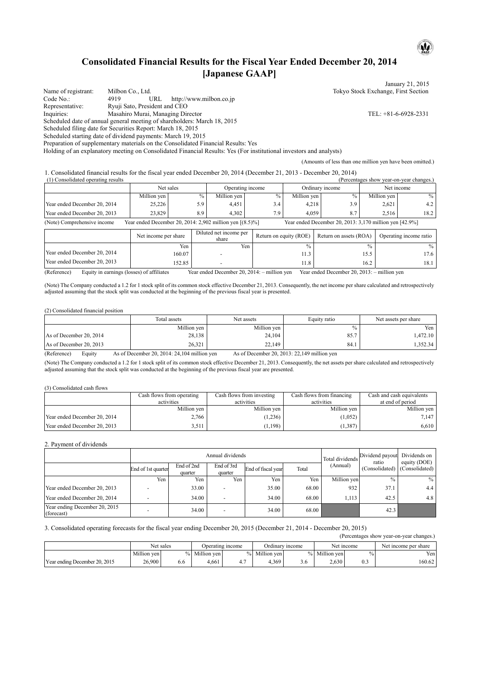## **Consolidated Financial Results for the Fiscal Year Ended December 20, 2014 [Japanese GAAP]**

January 21, 2015 Name of registrant: Milbon Co., Ltd. Tokyo Stock Exchange, First Section<br>
Code No.: 4919 URL http://www.milbon.co.jp Code No.: 4919 URL http://www.milbon.co.jp<br>
Representative: Ryuji Sato, President and CEO Ryuji Sato, President and CEO Inquiries: Masahiro Murai, Managing Director TEL: +81-6-6928-2331 Scheduled date of annual general meeting of shareholders: March 18, 2015 Scheduled filing date for Securities Report: March 18, 2015 Scheduled starting date of dividend payments: March 19, 2015 Preparation of supplementary materials on the Consolidated Financial Results: Yes

Holding of an explanatory meeting on Consolidated Financial Results: Yes (For institutional investors and analysts)

(Amounts of less than one million yen have been omitted.)

1. Consolidated financial results for the fiscal year ended December 20, 2014 (December 21, 2013 - December 20, 2014)

| (1) Consolidated operating results                                                                                                                    |             |      |                  |      |                 |      | (Percentages show year-on-year changes.) |      |
|-------------------------------------------------------------------------------------------------------------------------------------------------------|-------------|------|------------------|------|-----------------|------|------------------------------------------|------|
|                                                                                                                                                       | Net sales   |      | Operating income |      | Ordinary income |      | Net income                               |      |
|                                                                                                                                                       | Million yen | $\%$ | Million yen      | $\%$ | Million yen     | $\%$ | Million yen                              | $\%$ |
| Year ended December 20, 2014                                                                                                                          | 25,226      | 5.9  | 4.451            | 3.4  | 4,218           | 3.9  | 2,621                                    | 4.2  |
| Year ended December 20, 2013                                                                                                                          | 23.829      | 8.9  | 4.302            | 7.9  | 4.059           | 8.7  | 2.516                                    | 18.2 |
| Year ended December 20, 2014: 2,902 million yen $[(8.5)\%]$<br>Year ended December 20, 2013: 3,170 million yen [42.9%]<br>(Note) Comprehensive income |             |      |                  |      |                 |      |                                          |      |

|                                                          | Net income per share                    | Diluted net income per<br>share | Return on equity (ROE) | Return on assets (ROA)      | Operating income ratio |
|----------------------------------------------------------|-----------------------------------------|---------------------------------|------------------------|-----------------------------|------------------------|
|                                                          | Yen                                     | Yen                             | $\frac{0}{0}$          | $\frac{0}{0}$               | $\frac{0}{0}$          |
| Year ended December 20, 2014                             | 160.07                                  |                                 | 11.3                   | 15.5                        | 17.6                   |
| Year ended December 20, 2013                             | 152.85                                  |                                 | 11.8                   | 16.2                        | 18.1                   |
| $\sqrt{2}$<br>$\mathbf{r}$ , $\mathbf{r}$ , $\mathbf{r}$ | $\sim$ $\sim$ $\sim$ $\sim$<br><b>T</b> | 1.7 <sub>m</sub><br>20.2011     | <br>$\mathbf{v}$       | 1.7 <sub>m</sub><br>20.2012 |                        |

(Reference) Equity in earnings (losses) of affiliates Year ended December 20, 2014: – million yen Year ended December 20, 2013: – million yen

(Note) The Company conducted a 1.2 for 1 stock split of its common stock effective December 21, 2013. Consequently, the net income per share calculated and retrospectively adjusted assuming that the stock split was conducted at the beginning of the previous fiscal year is presented.

#### (2) Consolidated financial position

|                         | Total assets | Net assets  | Equity ratio  | Net assets per share |  |
|-------------------------|--------------|-------------|---------------|----------------------|--|
|                         | Million yen  | Million ven | $\frac{0}{0}$ | Yen                  |  |
| As of December 20, 2014 | 28,138       | 24,104      | 85.7          | . 472.10             |  |
| As of December 20, 2013 | 26,321       | 22,149      | 84.1          | .352.34              |  |

(Reference) Equity As of December 20, 2014: 24,104 million yen As of December 20, 2013: 22,149 million yen

(Note) The Company conducted a 1.2 for 1 stock split of its common stock effective December 21, 2013. Consequently, the net assets per share calculated and retrospectively adjusted assuming that the stock split was conducted at the beginning of the previous fiscal year are presented.

#### (3) Consolidated cash flows

|                              | Cash flows from operating<br>activities | Cash flows from investing<br>activities | Cash flows from financing<br>activities | Cash and cash equivalents<br>at end of period |  |
|------------------------------|-----------------------------------------|-----------------------------------------|-----------------------------------------|-----------------------------------------------|--|
|                              | Million yen                             | Million yen                             | Million yen                             | Million yen                                   |  |
| Year ended December 20, 2014 | 2,766                                   | 1,236                                   | (1,052)                                 | 7.147                                         |  |
| Year ended December 20, 2013 | 3.511                                   | 1,198                                   | (1, 387)                                | 6.610                                         |  |

### 2. Payment of dividends

|                                             |                    |                       | Annual dividends         | Total dividends    | Dividend payout<br>ratio | Dividends on<br>equity (DOE) |                               |      |
|---------------------------------------------|--------------------|-----------------------|--------------------------|--------------------|--------------------------|------------------------------|-------------------------------|------|
|                                             | End of 1st quarter | End of 2nd<br>quarter | End of 3rd<br>quarter    | End of fiscal year | Total                    | (Annual)                     | (Consolidated) (Consolidated) |      |
|                                             | Yen                | Yen                   | Yen                      | Yen                | Yen                      | Million yen                  | $\frac{0}{0}$                 | $\%$ |
| Year ended December 20, 2013                |                    | 33.00                 |                          | 35.00              | 68.00                    | 932                          | 37.1                          | 4.4  |
| Year ended December 20, 2014                |                    | 34.00                 | $\overline{\phantom{a}}$ | 34.00              | 68.00                    | 1.113                        | 42.5                          | 4.8  |
| Year ending December 20, 2015<br>(forecast) |                    | 34.00                 | ۰                        | 34.00              | 68.00                    |                              | 42.3                          |      |

### 3. Consolidated operating forecasts for the fiscal year ending December 20, 2015 (December 21, 2014 - December 20, 2015)

|                               |             |      |                  |     |                 |     |               |               | (Percentages show year-on-year changes.) |
|-------------------------------|-------------|------|------------------|-----|-----------------|-----|---------------|---------------|------------------------------------------|
|                               | Net sales   |      | Operating income |     | Ordinary income |     | Net income    |               | Net income per share                     |
|                               | Million ven | $\%$ | Million yen      |     | % Million ven   |     | % Million ven | $\frac{0}{0}$ | Yen.                                     |
| Year ending December 20, 2015 | 26.900      | 6.6  | 4.661            | 4.7 | 4.369           | 3.6 | 2.630         | 0.3           | 160.62                                   |

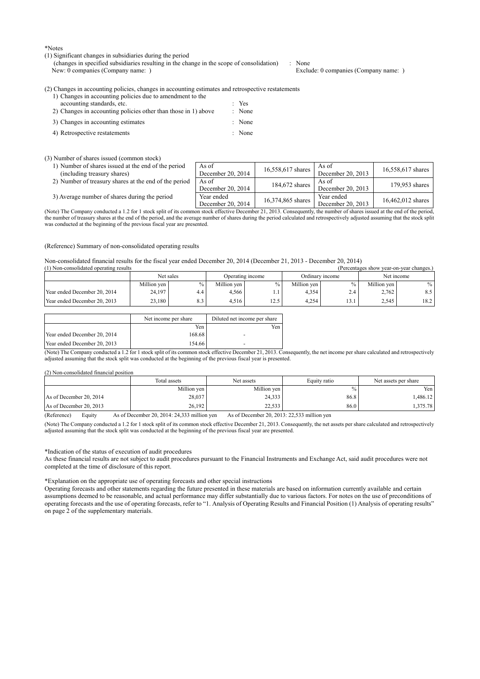\*Notes

#### (1) Significant changes in subsidiaries during the period

(changes in specified subsidiaries resulting in the change in the scope of consolidation) : None

Exclude: 0 companies (Company name: )

#### (2) Changes in accounting policies, changes in accounting estimates and retrospective restatements

| 1) Changes in accounting policies due to amendment to the      |        |
|----------------------------------------------------------------|--------|
| accounting standards, etc.                                     | $Y$ es |
| 2) Changes in accounting policies other than those in 1) above | : None |
| 3) Changes in accounting estimates                             | : None |
| 4) Retrospective restatements                                  | : None |

#### (3) Number of shares issued (common stock)

|  | 1) Number of shares issued at the end of the period |  |  |  |  |
|--|-----------------------------------------------------|--|--|--|--|
|  | (including treasury shares)                         |  |  |  |  |
|  |                                                     |  |  |  |  |

|  |  | 2) Number of treasury shares at the end of the period As of |  |  |  |  |  |  |
|--|--|-------------------------------------------------------------|--|--|--|--|--|--|
|--|--|-------------------------------------------------------------|--|--|--|--|--|--|

3) Average number of shares during the period

| e period   | As of<br>December 20, 2014      | 16,558,617 shares | As of<br>December 20, 2013      | 16,558,617 shares |
|------------|---------------------------------|-------------------|---------------------------------|-------------------|
| the period | As of<br>December 20, 2014      | 184,672 shares    | As of<br>December 20, 2013      | 179,953 shares    |
| iod        | Year ended<br>December 20, 2014 | 16,374,865 shares | Year ended<br>December 20, 2013 | 16.462.012 shares |

(Note) The Company conducted a 1.2 for 1 stock split of its common stock effective December 21, 2013. Consequently, the number of shares issued at the end of the period, the number of treasury shares at the end of the period, and the average number of shares during the period calculated and retrospectively adjusted assuming that the stock split was conducted at the beginning of the previous fiscal year are presented.

#### (Reference) Summary of non-consolidated operating results

Non-consolidated financial results for the fiscal year ended December 20, 2014 (December 21, 2013 - December 20, 2014)

| (1) Non-consolidated operating results<br>(Percentages show year-on-year changes.) |             |                  |             |                 |             |            |             |        |  |
|------------------------------------------------------------------------------------|-------------|------------------|-------------|-----------------|-------------|------------|-------------|--------|--|
| Net sales                                                                          |             | Operating income |             | Ordinary income |             | Net income |             |        |  |
|                                                                                    | Million yen | $\%$             | Million yen |                 | Million yen | $\%$ .     | Million ven | $\%$ . |  |
| Year ended December 20, 2014                                                       | 24,197      | 4.4              | 4.566       |                 | 4,354       |            | 2,762       | 8.5    |  |
| Year ended December 20, 2013                                                       | 23,180      | 8.3              | 4.516       | 12.5            | 4.254       | $\sim$     | 2.545       | 18.2   |  |

|                              | Net income per share | Diluted net income per share |
|------------------------------|----------------------|------------------------------|
|                              | Yen                  | Yen                          |
| Year ended December 20, 2014 | 168.68               |                              |
| Year ended December 20, 2013 | 154.66               | $\overline{\phantom{0}}$     |

(Note) The Company conducted a 1.2 for 1 stock split of its common stock effective December 21, 2013. Consequently, the net income per share calculated and retrospectively adjusted assuming that the stock split was conducted at the beginning of the previous fiscal year is presented.

#### (2) Non-consolidated financial position

|                                                                   | Total assets                                          | Net assets                                  | Equity ratio | Net assets per share |
|-------------------------------------------------------------------|-------------------------------------------------------|---------------------------------------------|--------------|----------------------|
|                                                                   | Million yen                                           | Million yen                                 | $\%$         | Yen I                |
| As of December 20, 2014                                           | 28,037                                                | 24,333                                      | 86.8         | .486.12              |
| As of December 20, 2013                                           | 26.192                                                | 22.533                                      | 86.0         | 1.375.78             |
| $(D \circ f_{\alpha \alpha \alpha \alpha \alpha})$<br>$E$ and $E$ | $\lambda$ s of Daaambar 20, 2014; 24, 222 million van | As of December 20, 2012; 22.522 million you |              |                      |

(Reference) Equity As of December 20, 2014: 24,333 million yen As of December 20, 2013: 22,533 million yen

(Note) The Company conducted a 1.2 for 1 stock split of its common stock effective December 21, 2013. Consequently, the net assets per share calculated and retrospectively adjusted assuming that the stock split was conducted at the beginning of the previous fiscal year are presented.

#### \*Indication of the status of execution of audit procedures

As these financial results are not subject to audit procedures pursuant to the Financial Instruments and Exchange Act, said audit procedures were not completed at the time of disclosure of this report.

#### \*Explanation on the appropriate use of operating forecasts and other special instructions

Operating forecasts and other statements regarding the future presented in these materials are based on information currently available and certain assumptions deemed to be reasonable, and actual performance may differ substantially due to various factors. For notes on the use of preconditions of operating forecasts and the use of operating forecasts, refer to "1. Analysis of Operating Results and Financial Position (1) Analysis of operating results" on page 2 of the supplementary materials.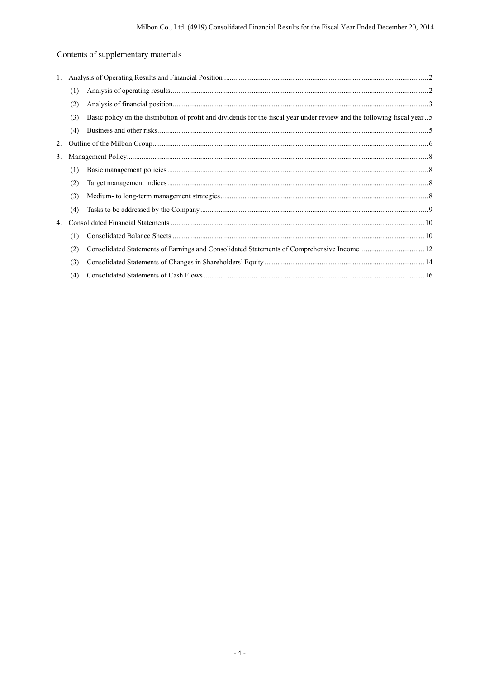# Contents of supplementary materials

| 1. |     |                                                                                                                          |  |
|----|-----|--------------------------------------------------------------------------------------------------------------------------|--|
|    | (1) |                                                                                                                          |  |
|    | (2) |                                                                                                                          |  |
|    | (3) | Basic policy on the distribution of profit and dividends for the fiscal year under review and the following fiscal year5 |  |
|    | (4) |                                                                                                                          |  |
| 2. |     |                                                                                                                          |  |
| 3. |     |                                                                                                                          |  |
|    | (1) |                                                                                                                          |  |
|    | (2) |                                                                                                                          |  |
|    | (3) |                                                                                                                          |  |
|    | (4) |                                                                                                                          |  |
| 4. |     |                                                                                                                          |  |
|    | (1) |                                                                                                                          |  |
|    | (2) |                                                                                                                          |  |
|    | (3) |                                                                                                                          |  |
|    | (4) |                                                                                                                          |  |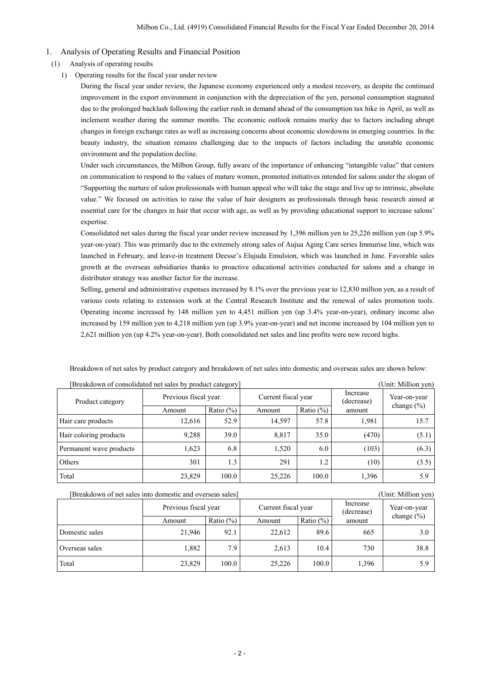### 1. Analysis of Operating Results and Financial Position

- (1) Analysis of operating results
	- 1) Operating results for the fiscal year under review

During the fiscal year under review, the Japanese economy experienced only a modest recovery, as despite the continued improvement in the export environment in conjunction with the depreciation of the yen, personal consumption stagnated due to the prolonged backlash following the earlier rush in demand ahead of the consumption tax hike in April, as well as inclement weather during the summer months. The economic outlook remains murky due to factors including abrupt changes in foreign exchange rates as well as increasing concerns about economic slowdowns in emerging countries. In the beauty industry, the situation remains challenging due to the impacts of factors including the unstable economic environment and the population decline.

Under such circumstances, the Milbon Group, fully aware of the importance of enhancing "intangible value" that centers on communication to respond to the values of mature women, promoted initiatives intended for salons under the slogan of "Supporting the nurture of salon professionals with human appeal who will take the stage and live up to intrinsic, absolute value." We focused on activities to raise the value of hair designers as professionals through basic research aimed at essential care for the changes in hair that occur with age, as well as by providing educational support to increase salons' expertise.

Consolidated net sales during the fiscal year under review increased by 1,396 million yen to 25,226 million yen (up 5.9% year-on-year). This was primarily due to the extremely strong sales of Aujua Aging Care series Immurise line, which was launched in February, and leave-in treatment Deesse's Elujuda Emulsion, which was launched in June. Favorable sales growth at the overseas subsidiaries thanks to proactive educational activities conducted for salons and a change in distributor strategy was another factor for the increase.

Selling, general and administrative expenses increased by 8.1% over the previous year to 12,830 million yen, as a result of various costs relating to extension work at the Central Research Institute and the renewal of sales promotion tools. Operating income increased by 148 million yen to 4,451 million yen (up 3.4% year-on-year), ordinary income also increased by 159 million yen to 4,218 million yen (up 3.9% year-on-year) and net income increased by 104 million yen to 2,621 million yen (up 4.2% year-on-year). Both consolidated net sales and line profits were new record highs.

| Breakdown of consolidated net sales by product category |                      |              |                     |              | (Unit: Million yen)    |                |
|---------------------------------------------------------|----------------------|--------------|---------------------|--------------|------------------------|----------------|
| Product category                                        | Previous fiscal year |              | Current fiscal year |              | Increase<br>(decrease) | Year-on-year   |
|                                                         | Amount               | Ratio $(\%)$ | Amount              | Ratio $(\%)$ | amount                 | change $(\% )$ |
| Hair care products                                      | 12,616               | 52.9         | 14,597              | 57.8         | 1,981                  | 15.7           |
| Hair coloring products                                  | 9,288                | 39.0         | 8,817               | 35.0         | (470)                  | (5.1)          |
| Permanent wave products                                 | 1,623                | 6.8          | 1,520               | 6.0          | (103)                  | (6.3)          |
| Others                                                  | 301                  | 1.3          | 291                 | 1.2          | (10)                   | (3.5)          |
| Total                                                   | 23,829               | 100.0        | 25,226              | 100.0        | 1,396                  | 5.9            |

Breakdown of net sales by product category and breakdown of net sales into domestic and overseas sales are shown below:

[Breakdown of net sales into domestic and overseas sales] (Unit: Million yen)

|                | Previous fiscal year |              | Current fiscal year |               | Increase<br>(decrease) | Year-on-year   |
|----------------|----------------------|--------------|---------------------|---------------|------------------------|----------------|
|                | Amount               | Ratio $(\%)$ | Amount              | Ratio $(\% )$ | amount                 | change $(\% )$ |
| Domestic sales | 21,946               | 92.1         | 22,612              | 89.6          | 665                    | 3.0            |
| Overseas sales | 1,882                | 7.9          | 2,613               | 10.4          | 730                    | 38.8           |
| Total          | 23,829               | 100.0        | 25,226              | 100.0         | 1,396                  | 5.9            |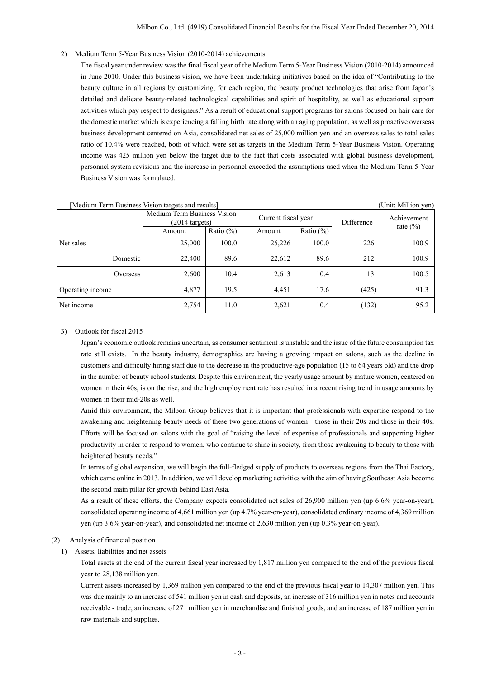2) Medium Term 5-Year Business Vision (2010-2014) achievements

The fiscal year under review was the final fiscal year of the Medium Term 5-Year Business Vision (2010-2014) announced in June 2010. Under this business vision, we have been undertaking initiatives based on the idea of "Contributing to the beauty culture in all regions by customizing, for each region, the beauty product technologies that arise from Japan's detailed and delicate beauty-related technological capabilities and spirit of hospitality, as well as educational support activities which pay respect to designers." As a result of educational support programs for salons focused on hair care for the domestic market which is experiencing a falling birth rate along with an aging population, as well as proactive overseas business development centered on Asia, consolidated net sales of 25,000 million yen and an overseas sales to total sales ratio of 10.4% were reached, both of which were set as targets in the Medium Term 5-Year Business Vision. Operating income was 425 million yen below the target due to the fact that costs associated with global business development, personnel system revisions and the increase in personnel exceeded the assumptions used when the Medium Term 5-Year Business Vision was formulated.

| $\mu$ of $\mu$ is a set of $\mu$ is the degree of $\mu$<br>$\overline{C}$ $\overline{C}$ |                                                         |              |                     |               |            |              |
|------------------------------------------------------------------------------------------|---------------------------------------------------------|--------------|---------------------|---------------|------------|--------------|
|                                                                                          | Medium Term Business Vision<br>$(2014 \text{ targets})$ |              | Current fiscal year |               | Difference | Achievement  |
|                                                                                          | Amount                                                  | Ratio $(\%)$ | Amount              | Ratio $(\% )$ |            | rate $(\% )$ |
| Net sales                                                                                | 25,000                                                  | 100.0        | 25,226              | 100.0         | 226        | 100.9        |
| Domestic                                                                                 | 22,400                                                  | 89.6         | 22,612              | 89.6          | 212        | 100.9        |
| Overseas                                                                                 | 2,600                                                   | 10.4         | 2,613               | 10.4          | 13         | 100.5        |
| Operating income                                                                         | 4,877                                                   | 19.5         | 4,451               | 17.6          | (425)      | 91.3         |
| Net income                                                                               | 2,754                                                   | 11.0         | 2,621               | 10.4          | (132)      | 95.2         |

### [Medium Term Business Vision targets and results] (Unit: Million yen)

3) Outlook for fiscal 2015

Japan's economic outlook remains uncertain, as consumer sentiment is unstable and the issue of the future consumption tax rate still exists. In the beauty industry, demographics are having a growing impact on salons, such as the decline in customers and difficulty hiring staff due to the decrease in the productive-age population (15 to 64 years old) and the drop in the number of beauty school students. Despite this environment, the yearly usage amount by mature women, centered on women in their 40s, is on the rise, and the high employment rate has resulted in a recent rising trend in usage amounts by women in their mid-20s as well.

Amid this environment, the Milbon Group believes that it is important that professionals with expertise respond to the awakening and heightening beauty needs of these two generations of women―those in their 20s and those in their 40s. Efforts will be focused on salons with the goal of "raising the level of expertise of professionals and supporting higher productivity in order to respond to women, who continue to shine in society, from those awakening to beauty to those with heightened beauty needs."

In terms of global expansion, we will begin the full-fledged supply of products to overseas regions from the Thai Factory, which came online in 2013. In addition, we will develop marketing activities with the aim of having Southeast Asia become the second main pillar for growth behind East Asia.

As a result of these efforts, the Company expects consolidated net sales of 26,900 million yen (up 6.6% year-on-year), consolidated operating income of 4,661 million yen (up 4.7% year-on-year), consolidated ordinary income of 4,369 million yen (up 3.6% year-on-year), and consolidated net income of 2,630 million yen (up 0.3% year-on-year).

### (2) Analysis of financial position

1) Assets, liabilities and net assets

Total assets at the end of the current fiscal year increased by 1,817 million yen compared to the end of the previous fiscal year to 28,138 million yen.

Current assets increased by 1,369 million yen compared to the end of the previous fiscal year to 14,307 million yen. This was due mainly to an increase of 541 million yen in cash and deposits, an increase of 316 million yen in notes and accounts receivable - trade, an increase of 271 million yen in merchandise and finished goods, and an increase of 187 million yen in raw materials and supplies.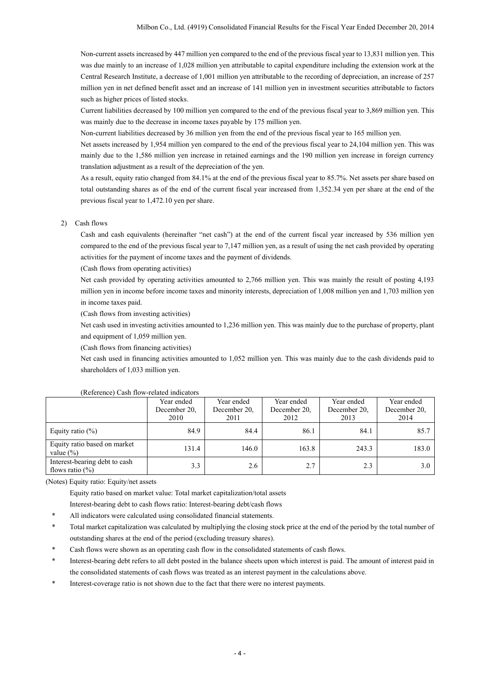Non-current assets increased by 447 million yen compared to the end of the previous fiscal year to 13,831 million yen. This was due mainly to an increase of 1,028 million yen attributable to capital expenditure including the extension work at the Central Research Institute, a decrease of 1,001 million yen attributable to the recording of depreciation, an increase of 257 million yen in net defined benefit asset and an increase of 141 million yen in investment securities attributable to factors such as higher prices of listed stocks.

Current liabilities decreased by 100 million yen compared to the end of the previous fiscal year to 3,869 million yen. This was mainly due to the decrease in income taxes payable by 175 million yen.

Non-current liabilities decreased by 36 million yen from the end of the previous fiscal year to 165 million yen.

Net assets increased by 1,954 million yen compared to the end of the previous fiscal year to 24,104 million yen. This was mainly due to the 1,586 million yen increase in retained earnings and the 190 million yen increase in foreign currency translation adjustment as a result of the depreciation of the yen.

As a result, equity ratio changed from 84.1% at the end of the previous fiscal year to 85.7%. Net assets per share based on total outstanding shares as of the end of the current fiscal year increased from 1,352.34 yen per share at the end of the previous fiscal year to 1,472.10 yen per share.

#### 2) Cash flows

Cash and cash equivalents (hereinafter "net cash") at the end of the current fiscal year increased by 536 million yen compared to the end of the previous fiscal year to 7,147 million yen, as a result of using the net cash provided by operating activities for the payment of income taxes and the payment of dividends.

(Cash flows from operating activities)

Net cash provided by operating activities amounted to 2,766 million yen. This was mainly the result of posting 4,193 million yen in income before income taxes and minority interests, depreciation of 1,008 million yen and 1,703 million yen in income taxes paid.

(Cash flows from investing activities)

Net cash used in investing activities amounted to 1,236 million yen. This was mainly due to the purchase of property, plant and equipment of 1,059 million yen.

(Cash flows from financing activities)

Net cash used in financing activities amounted to 1,052 million yen. This was mainly due to the cash dividends paid to shareholders of 1,033 million yen.

| $1.01$ check $1.001$ and $1.001$ and $1.01$ and $1.01$ and $1.01$ and $1.01$ and $1.01$ and $1.01$ and $1.01$ and $1.01$ and $1.01$ and $1.01$ and $1.01$ and $1.01$ and $1.01$ and $1.01$ and $1.01$ and $1.01$ and $1.01$ a |              |              |              |              |              |
|-------------------------------------------------------------------------------------------------------------------------------------------------------------------------------------------------------------------------------|--------------|--------------|--------------|--------------|--------------|
|                                                                                                                                                                                                                               | Year ended   | Year ended   | Year ended   | Year ended   | Year ended   |
|                                                                                                                                                                                                                               | December 20. | December 20. | December 20. | December 20. | December 20. |
|                                                                                                                                                                                                                               | 2010         | 2011         | 2012         | 2013         | 2014         |
| Equity ratio $(\%)$                                                                                                                                                                                                           | 84.9         | 84.4         | 86.1         | 84.1         | 85.7         |
| Equity ratio based on market<br>value $(\% )$                                                                                                                                                                                 | 131.4        | 146.0        | 163.8        | 243.3        | 183.0        |
| Interest-bearing debt to cash<br>flows ratio $(\%)$                                                                                                                                                                           | 3.3          | 2.6          | 2.7          | 2.3          | 3.0          |

### (Reference) Cash flow-related indicators

(Notes) Equity ratio: Equity/net assets

Equity ratio based on market value: Total market capitalization/total assets Interest-bearing debt to cash flows ratio: Interest-bearing debt/cash flows

- All indicators were calculated using consolidated financial statements.
- \* Total market capitalization was calculated by multiplying the closing stock price at the end of the period by the total number of outstanding shares at the end of the period (excluding treasury shares).
- Cash flows were shown as an operating cash flow in the consolidated statements of cash flows.
- \* Interest-bearing debt refers to all debt posted in the balance sheets upon which interest is paid. The amount of interest paid in the consolidated statements of cash flows was treated as an interest payment in the calculations above.
- Interest-coverage ratio is not shown due to the fact that there were no interest payments.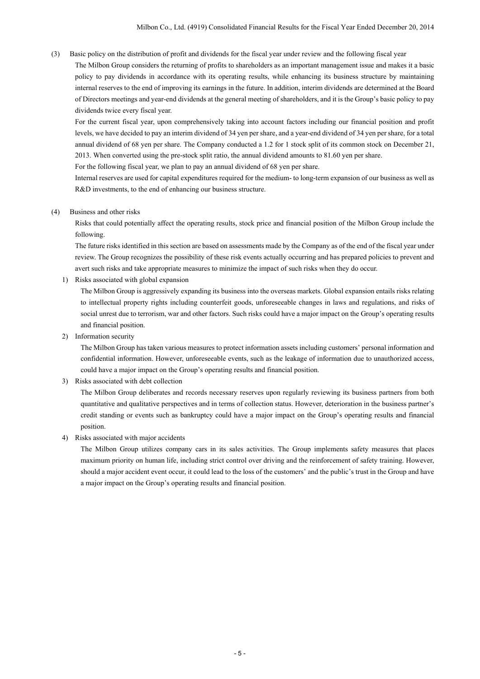(3) Basic policy on the distribution of profit and dividends for the fiscal year under review and the following fiscal year

The Milbon Group considers the returning of profits to shareholders as an important management issue and makes it a basic policy to pay dividends in accordance with its operating results, while enhancing its business structure by maintaining internal reserves to the end of improving its earnings in the future. In addition, interim dividends are determined at the Board of Directors meetings and year-end dividends at the general meeting of shareholders, and it is the Group's basic policy to pay dividends twice every fiscal year.

For the current fiscal year, upon comprehensively taking into account factors including our financial position and profit levels, we have decided to pay an interim dividend of 34 yen per share, and a year-end dividend of 34 yen per share, for a total annual dividend of 68 yen per share. The Company conducted a 1.2 for 1 stock split of its common stock on December 21, 2013. When converted using the pre-stock split ratio, the annual dividend amounts to 81.60 yen per share.

For the following fiscal year, we plan to pay an annual dividend of 68 yen per share.

Internal reserves are used for capital expenditures required for the medium- to long-term expansion of our business as well as R&D investments, to the end of enhancing our business structure.

(4) Business and other risks

Risks that could potentially affect the operating results, stock price and financial position of the Milbon Group include the following.

The future risks identified in this section are based on assessments made by the Company as of the end of the fiscal year under review. The Group recognizes the possibility of these risk events actually occurring and has prepared policies to prevent and avert such risks and take appropriate measures to minimize the impact of such risks when they do occur.

1) Risks associated with global expansion

The Milbon Group is aggressively expanding its business into the overseas markets. Global expansion entails risks relating to intellectual property rights including counterfeit goods, unforeseeable changes in laws and regulations, and risks of social unrest due to terrorism, war and other factors. Such risks could have a major impact on the Group's operating results and financial position.

2) Information security

The Milbon Group has taken various measures to protect information assets including customers' personal information and confidential information. However, unforeseeable events, such as the leakage of information due to unauthorized access, could have a major impact on the Group's operating results and financial position.

3) Risks associated with debt collection

The Milbon Group deliberates and records necessary reserves upon regularly reviewing its business partners from both quantitative and qualitative perspectives and in terms of collection status. However, deterioration in the business partner's credit standing or events such as bankruptcy could have a major impact on the Group's operating results and financial position.

4) Risks associated with major accidents

The Milbon Group utilizes company cars in its sales activities. The Group implements safety measures that places maximum priority on human life, including strict control over driving and the reinforcement of safety training. However, should a major accident event occur, it could lead to the loss of the customers' and the public's trust in the Group and have a major impact on the Group's operating results and financial position.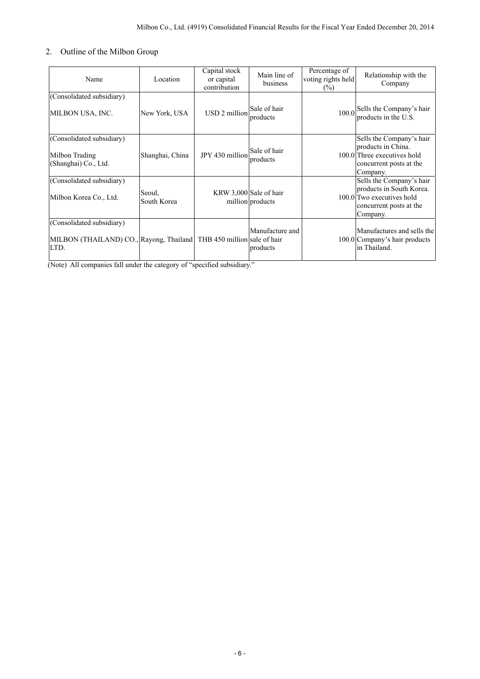## 2. Outline of the Milbon Group

| Name                                                                                                      | Location              | Capital stock<br>or capital<br>contribution | Main line of<br>business                   | Percentage of<br>voting rights held<br>$(\%)$ | Relationship with the<br>Company                                                                                         |
|-----------------------------------------------------------------------------------------------------------|-----------------------|---------------------------------------------|--------------------------------------------|-----------------------------------------------|--------------------------------------------------------------------------------------------------------------------------|
| (Consolidated subsidiary)<br>MILBON USA, INC.                                                             | New York, USA         | USD 2 million                               | Sale of hair<br>products                   |                                               | 100.0 Sells the Company's hair<br>products in the U.S.                                                                   |
| (Consolidated subsidiary)<br>Milbon Trading<br>(Shanghai) Co., Ltd.                                       | Shanghai, China       | JPY 430 million                             | Sale of hair<br>products                   |                                               | Sells the Company's hair<br>products in China.<br>100.0 Three executives hold<br>concurrent posts at the<br>Company.     |
| (Consolidated subsidiary)<br>Milbon Korea Co., Ltd.                                                       | Seoul,<br>South Korea |                                             | KRW 3,000 Sale of hair<br>million products |                                               | Sells the Company's hair<br>products in South Korea.<br>100.0 Two executives hold<br>concurrent posts at the<br>Company. |
| (Consolidated subsidiary)<br>MILBON (THAILAND) CO., Rayong, Thailand THB 450 million sale of hair<br>LTD. |                       |                                             | Manufacture and<br>products                |                                               | Manufactures and sells the<br>100.0 Company's hair products<br>in Thailand.                                              |

(Note) All companies fall under the category of "specified subsidiary."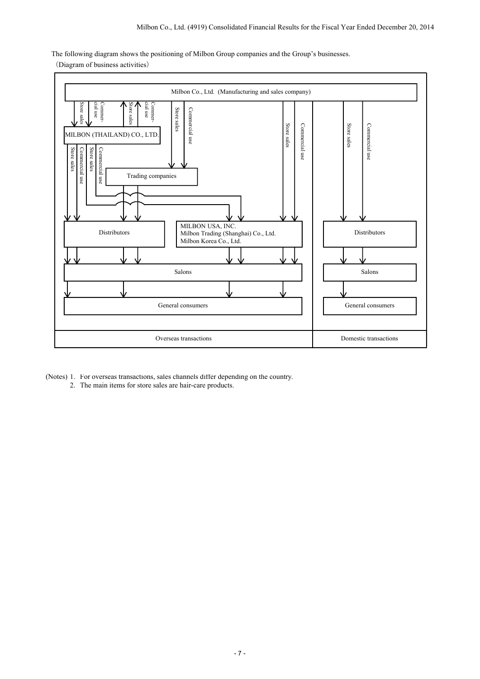The following diagram shows the positioning of Milbon Group companies and the Group's businesses.

(Diagram of business activities)



- (Notes) 1. For overseas transactions, sales channels differ depending on the country.
	- 2. The main items for store sales are hair-care products.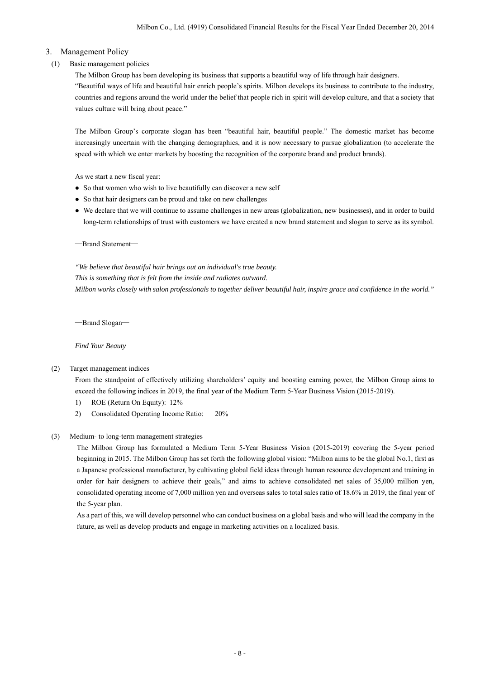## 3. Management Policy

## (1) Basic management policies

The Milbon Group has been developing its business that supports a beautiful way of life through hair designers. "Beautiful ways of life and beautiful hair enrich people's spirits. Milbon develops its business to contribute to the industry, countries and regions around the world under the belief that people rich in spirit will develop culture, and that a society that values culture will bring about peace."

The Milbon Group's corporate slogan has been "beautiful hair, beautiful people." The domestic market has become increasingly uncertain with the changing demographics, and it is now necessary to pursue globalization (to accelerate the speed with which we enter markets by boosting the recognition of the corporate brand and product brands).

As we start a new fiscal year:

- So that women who wish to live beautifully can discover a new self
- So that hair designers can be proud and take on new challenges
- We declare that we will continue to assume challenges in new areas (globalization, new businesses), and in order to build long-term relationships of trust with customers we have created a new brand statement and slogan to serve as its symbol.

―Brand Statement―

*"We believe that beautiful hair brings out an individual's true beauty. This is something that is felt from the inside and radiates outward. Milbon works closely with salon professionals to together deliver beautiful hair, inspire grace and confidence in the world."* 

―Brand Slogan―

*Find Your Beauty* 

### (2) Target management indices

 From the standpoint of effectively utilizing shareholders' equity and boosting earning power, the Milbon Group aims to exceed the following indices in 2019, the final year of the Medium Term 5-Year Business Vision (2015-2019).

- 1) ROE (Return On Equity): 12%
- 2) Consolidated Operating Income Ratio: 20%
- (3) Medium- to long-term management strategies

 The Milbon Group has formulated a Medium Term 5-Year Business Vision (2015-2019) covering the 5-year period beginning in 2015. The Milbon Group has set forth the following global vision: "Milbon aims to be the global No.1, first as a Japanese professional manufacturer, by cultivating global field ideas through human resource development and training in order for hair designers to achieve their goals," and aims to achieve consolidated net sales of 35,000 million yen, consolidated operating income of 7,000 million yen and overseas sales to total sales ratio of 18.6% in 2019, the final year of the 5-year plan.

As a part of this, we will develop personnel who can conduct business on a global basis and who will lead the company in the future, as well as develop products and engage in marketing activities on a localized basis.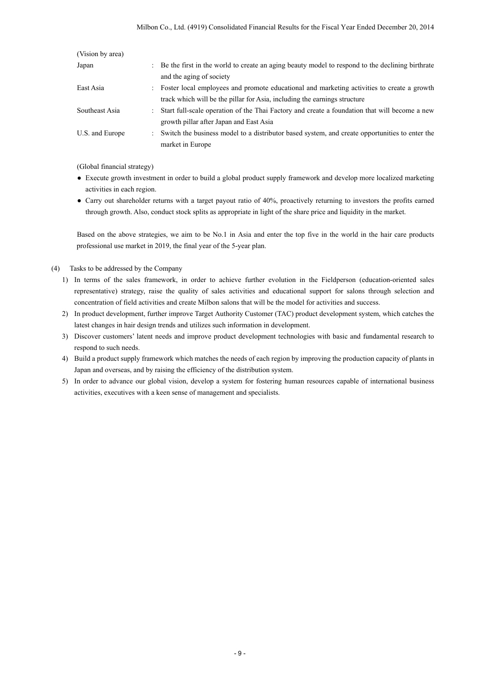| (Vision by area) |                                                                                                   |
|------------------|---------------------------------------------------------------------------------------------------|
| Japan            | : Be the first in the world to create an aging beauty model to respond to the declining birthrate |
|                  | and the aging of society                                                                          |
| East Asia        | : Foster local employees and promote educational and marketing activities to create a growth      |
|                  | track which will be the pillar for Asia, including the earnings structure                         |
| Southeast Asia   | : Start full-scale operation of the Thai Factory and create a foundation that will become a new   |
|                  | growth pillar after Japan and East Asia                                                           |
| U.S. and Europe  | : Switch the business model to a distributor based system, and create opportunities to enter the  |
|                  | market in Europe                                                                                  |

(Global financial strategy)

- Execute growth investment in order to build a global product supply framework and develop more localized marketing activities in each region.
- Carry out shareholder returns with a target payout ratio of 40%, proactively returning to investors the profits earned through growth. Also, conduct stock splits as appropriate in light of the share price and liquidity in the market.

Based on the above strategies, we aim to be No.1 in Asia and enter the top five in the world in the hair care products professional use market in 2019, the final year of the 5-year plan.

- (4) Tasks to be addressed by the Company
	- 1) In terms of the sales framework, in order to achieve further evolution in the Fieldperson (education-oriented sales representative) strategy, raise the quality of sales activities and educational support for salons through selection and concentration of field activities and create Milbon salons that will be the model for activities and success.
	- 2) In product development, further improve Target Authority Customer (TAC) product development system, which catches the latest changes in hair design trends and utilizes such information in development.
	- 3) Discover customers' latent needs and improve product development technologies with basic and fundamental research to respond to such needs.
	- 4) Build a product supply framework which matches the needs of each region by improving the production capacity of plants in Japan and overseas, and by raising the efficiency of the distribution system.
	- 5) In order to advance our global vision, develop a system for fostering human resources capable of international business activities, executives with a keen sense of management and specialists.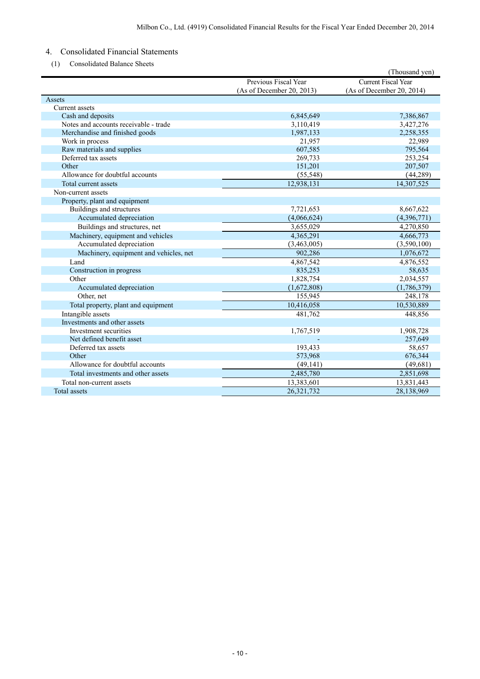## 4. Consolidated Financial Statements

(1) Consolidated Balance Sheets

|                                        |                           | (Thousand yen)            |
|----------------------------------------|---------------------------|---------------------------|
|                                        | Previous Fiscal Year      | Current Fiscal Year       |
|                                        | (As of December 20, 2013) | (As of December 20, 2014) |
| Assets                                 |                           |                           |
| Current assets                         |                           |                           |
| Cash and deposits                      | 6,845,649                 | 7,386,867                 |
| Notes and accounts receivable - trade  | 3,110,419                 | 3,427,276                 |
| Merchandise and finished goods         | 1,987,133                 | 2,258,355                 |
| Work in process                        | 21,957                    | 22,989                    |
| Raw materials and supplies             | 607,585                   | 795,564                   |
| Deferred tax assets                    | 269,733                   | 253,254                   |
| Other                                  | 151,201                   | 207,507                   |
| Allowance for doubtful accounts        | (55, 548)                 | (44, 289)                 |
| Total current assets                   | 12,938,131                | 14,307,525                |
| Non-current assets                     |                           |                           |
| Property, plant and equipment          |                           |                           |
| Buildings and structures               | 7,721,653                 | 8,667,622                 |
| Accumulated depreciation               | (4,066,624)               | (4,396,771)               |
| Buildings and structures, net          | 3,655,029                 | 4,270,850                 |
| Machinery, equipment and vehicles      | 4,365,291                 | 4,666,773                 |
| Accumulated depreciation               | (3,463,005)               | (3,590,100)               |
| Machinery, equipment and vehicles, net | 902,286                   | 1,076,672                 |
| Land                                   | 4,867,542                 | 4,876,552                 |
| Construction in progress               | 835,253                   | 58,635                    |
| Other                                  | 1,828,754                 | 2,034,557                 |
| Accumulated depreciation               | (1,672,808)               | (1,786,379)               |
| Other, net                             | 155,945                   | 248,178                   |
| Total property, plant and equipment    | 10,416,058                | 10,530,889                |
| Intangible assets                      | 481,762                   | 448,856                   |
| Investments and other assets           |                           |                           |
| Investment securities                  | 1,767,519                 | 1,908,728                 |
| Net defined benefit asset              |                           | 257,649                   |
| Deferred tax assets                    | 193,433                   | 58,657                    |
| Other                                  | 573,968                   | 676,344                   |
| Allowance for doubtful accounts        | (49, 141)                 | (49, 681)                 |
| Total investments and other assets     | 2,485,780                 | 2,851,698                 |
| Total non-current assets               | 13,383,601                | 13,831,443                |
| <b>Total</b> assets                    | 26,321,732                | 28,138,969                |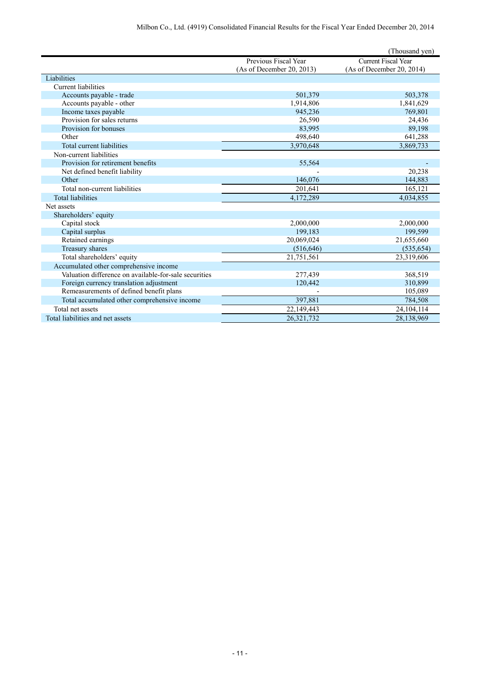|                                                       |                           | (Thousand yen)             |
|-------------------------------------------------------|---------------------------|----------------------------|
|                                                       | Previous Fiscal Year      | <b>Current Fiscal Year</b> |
|                                                       | (As of December 20, 2013) | (As of December 20, 2014)  |
| Liabilities                                           |                           |                            |
| Current liabilities                                   |                           |                            |
| Accounts payable - trade                              | 501,379                   | 503,378                    |
| Accounts payable - other                              | 1,914,806                 | 1,841,629                  |
| Income taxes payable                                  | 945,236                   | 769,801                    |
| Provision for sales returns                           | 26,590                    | 24,436                     |
| Provision for bonuses                                 | 83,995                    | 89,198                     |
| Other                                                 | 498,640                   | 641,288                    |
| Total current liabilities                             | 3,970,648                 | 3,869,733                  |
| Non-current liabilities                               |                           |                            |
| Provision for retirement benefits                     | 55,564                    |                            |
| Net defined benefit liability                         |                           | 20,238                     |
| Other                                                 | 146,076                   | 144,883                    |
| Total non-current liabilities                         | 201,641                   | 165,121                    |
| <b>Total liabilities</b>                              | 4,172,289                 | 4,034,855                  |
| Net assets                                            |                           |                            |
| Shareholders' equity                                  |                           |                            |
| Capital stock                                         | 2,000,000                 | 2,000,000                  |
| Capital surplus                                       | 199,183                   | 199,599                    |
| Retained earnings                                     | 20,069,024                | 21,655,660                 |
| Treasury shares                                       | (516, 646)                | (535, 654)                 |
| Total shareholders' equity                            | 21,751,561                | 23,319,606                 |
| Accumulated other comprehensive income                |                           |                            |
| Valuation difference on available-for-sale securities | 277,439                   | 368,519                    |
| Foreign currency translation adjustment               | 120,442                   | 310,899                    |
| Remeasurements of defined benefit plans               |                           | 105,089                    |
| Total accumulated other comprehensive income          | 397,881                   | 784,508                    |
| Total net assets                                      | 22,149,443                | 24, 104, 114               |
| Total liabilities and net assets                      | 26,321,732                | 28,138,969                 |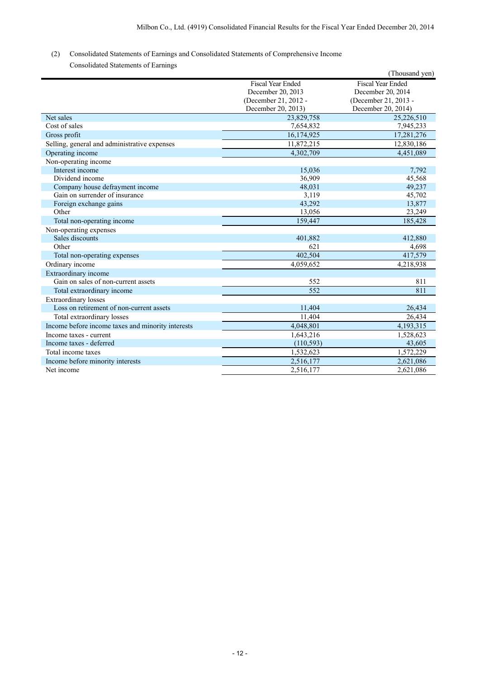## (2) Consolidated Statements of Earnings and Consolidated Statements of Comprehensive Income

Consolidated Statements of Earnings

|                                                   |                          | (Thousand yen)           |
|---------------------------------------------------|--------------------------|--------------------------|
|                                                   | <b>Fiscal Year Ended</b> | <b>Fiscal Year Ended</b> |
|                                                   | December 20, 2013        | December 20, 2014        |
|                                                   | (December 21, 2012 -     | (December 21, 2013 -     |
|                                                   | December 20, 2013)       | December 20, 2014)       |
| Net sales                                         | 23,829,758               | 25,226,510               |
| Cost of sales                                     | 7,654,832                | 7,945,233                |
| Gross profit                                      | 16,174,925               | 17,281,276               |
| Selling, general and administrative expenses      | 11,872,215               | 12,830,186               |
| Operating income                                  | 4.302.709                | 4,451,089                |
| Non-operating income                              |                          |                          |
| Interest income                                   | 15,036                   | 7,792                    |
| Dividend income                                   | 36,909                   | 45,568                   |
| Company house defrayment income                   | 48,031                   | 49,237                   |
| Gain on surrender of insurance                    | 3,119                    | 45,702                   |
| Foreign exchange gains                            | 43,292                   | 13,877                   |
| Other                                             | 13,056                   | 23,249                   |
| Total non-operating income                        | 159,447                  | 185,428                  |
| Non-operating expenses                            |                          |                          |
| Sales discounts                                   | 401,882                  | 412,880                  |
| Other                                             | 621                      | 4,698                    |
| Total non-operating expenses                      | 402,504                  | 417,579                  |
| Ordinary income                                   | 4,059,652                | 4,218,938                |
| Extraordinary income                              |                          |                          |
| Gain on sales of non-current assets               | 552                      | 811                      |
| Total extraordinary income                        | 552                      | 811                      |
| <b>Extraordinary losses</b>                       |                          |                          |
| Loss on retirement of non-current assets          | 11,404                   | 26,434                   |
| Total extraordinary losses                        | 11,404                   | 26,434                   |
| Income before income taxes and minority interests | 4,048,801                | 4,193,315                |
| Income taxes - current                            | 1,643,216                | 1,528,623                |
| Income taxes - deferred                           | (110, 593)               | 43,605                   |
| Total income taxes                                | 1,532,623                | 1,572,229                |
| Income before minority interests                  | 2,516,177                | 2,621,086                |
| Net income                                        | 2,516,177                | 2,621,086                |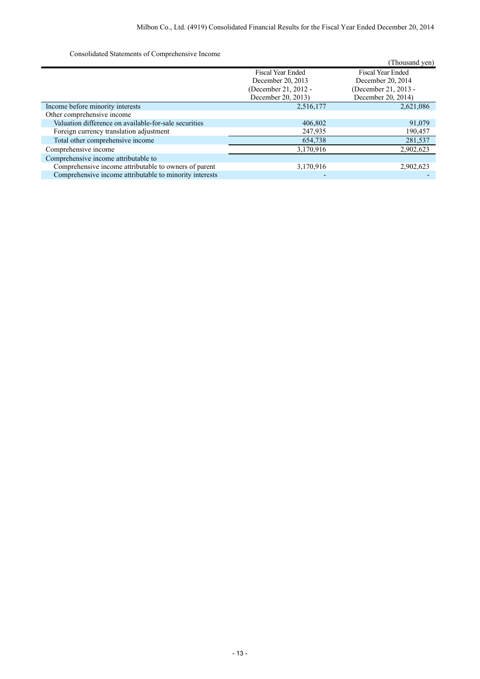Consolidated Statements of Comprehensive Income

| Consondated Statements of Comprehensive mediate         |                          |                          |
|---------------------------------------------------------|--------------------------|--------------------------|
|                                                         |                          | (Thousand yen)           |
|                                                         | <b>Fiscal Year Ended</b> | <b>Fiscal Year Ended</b> |
|                                                         | December 20, 2013        | December 20, 2014        |
|                                                         | (December 21, 2012 -     | (December 21, 2013 -     |
|                                                         | December 20, 2013)       | December 20, 2014)       |
| Income before minority interests                        | 2,516,177                | 2,621,086                |
| Other comprehensive income                              |                          |                          |
| Valuation difference on available-for-sale securities   | 406,802                  | 91,079                   |
| Foreign currency translation adjustment                 | 247,935                  | 190,457                  |
| Total other comprehensive income                        | 654,738                  | 281,537                  |
| Comprehensive income                                    | 3,170,916                | 2,902,623                |
| Comprehensive income attributable to                    |                          |                          |
| Comprehensive income attributable to owners of parent   | 3,170,916                | 2,902,623                |
| Comprehensive income attributable to minority interests |                          |                          |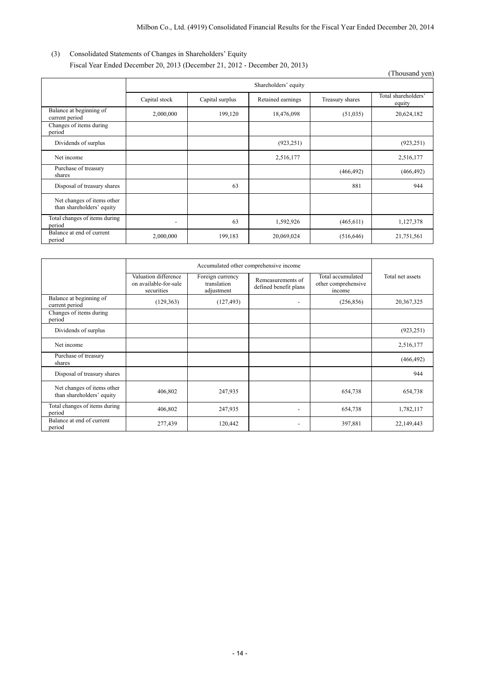## (3) Consolidated Statements of Changes in Shareholders' Equity Fiscal Year Ended December 20, 2013 (December 21, 2012 - December 20, 2013)

|                                                         |                          |                 |                   |                 | (Thousand yen)                |
|---------------------------------------------------------|--------------------------|-----------------|-------------------|-----------------|-------------------------------|
|                                                         | Shareholders' equity     |                 |                   |                 |                               |
|                                                         | Capital stock            | Capital surplus | Retained earnings | Treasury shares | Total shareholders'<br>equity |
| Balance at beginning of<br>current period               | 2,000,000                | 199,120         | 18,476,098        | (51,035)        | 20,624,182                    |
| Changes of items during<br>period                       |                          |                 |                   |                 |                               |
| Dividends of surplus                                    |                          |                 | (923, 251)        |                 | (923, 251)                    |
| Net income                                              |                          |                 | 2,516,177         |                 | 2,516,177                     |
| Purchase of treasury<br>shares                          |                          |                 |                   | (466, 492)      | (466, 492)                    |
| Disposal of treasury shares                             |                          | 63              |                   | 881             | 944                           |
| Net changes of items other<br>than shareholders' equity |                          |                 |                   |                 |                               |
| Total changes of items during<br>period                 | $\overline{\phantom{0}}$ | 63              | 1,592,926         | (465, 611)      | 1,127,378                     |
| Balance at end of current<br>period                     | 2,000,000                | 199,183         | 20,069,024        | (516, 646)      | 21,751,561                    |

|                                                         | Accumulated other comprehensive income                      |                                               |                                            |                                                    |                  |
|---------------------------------------------------------|-------------------------------------------------------------|-----------------------------------------------|--------------------------------------------|----------------------------------------------------|------------------|
|                                                         | Valuation difference<br>on available-for-sale<br>securities | Foreign currency<br>translation<br>adjustment | Remeasurements of<br>defined benefit plans | Total accumulated<br>other comprehensive<br>income | Total net assets |
| Balance at beginning of<br>current period               | (129, 363)                                                  | (127, 493)                                    |                                            | (256, 856)                                         | 20,367,325       |
| Changes of items during<br>period                       |                                                             |                                               |                                            |                                                    |                  |
| Dividends of surplus                                    |                                                             |                                               |                                            |                                                    | (923, 251)       |
| Net income                                              |                                                             |                                               |                                            |                                                    | 2,516,177        |
| Purchase of treasury<br>shares                          |                                                             |                                               |                                            |                                                    | (466, 492)       |
| Disposal of treasury shares                             |                                                             |                                               |                                            |                                                    | 944              |
| Net changes of items other<br>than shareholders' equity | 406,802                                                     | 247,935                                       |                                            | 654,738                                            | 654,738          |
| Total changes of items during<br>period                 | 406,802                                                     | 247,935                                       |                                            | 654,738                                            | 1,782,117        |
| Balance at end of current<br>period                     | 277,439                                                     | 120,442                                       | $\overline{\phantom{a}}$                   | 397,881                                            | 22,149,443       |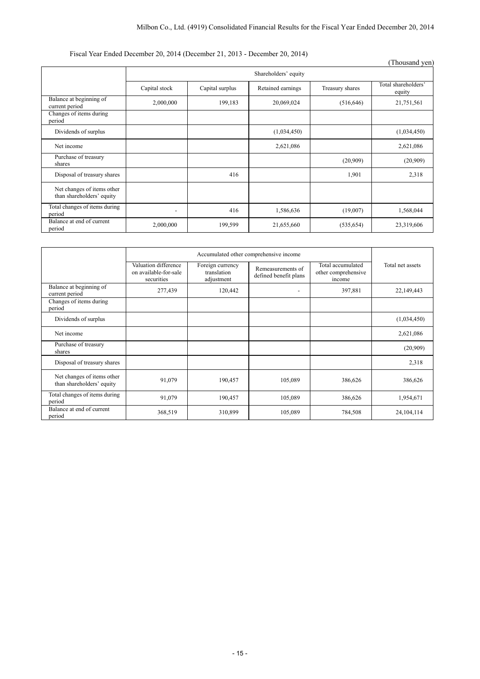## Fiscal Year Ended December 20, 2014 (December 21, 2013 - December 20, 2014)

|                                                         |                      |                 | $\ldots$ . There is a contract $=0, \, \pm 0.1$ . The extent of $=1, \, \pm 0.10$ . Between $\pm 0, \, \pm 0.1$ . The set of $\pm 0.00$ |                 | (Thousand yen)                |
|---------------------------------------------------------|----------------------|-----------------|-----------------------------------------------------------------------------------------------------------------------------------------|-----------------|-------------------------------|
|                                                         | Shareholders' equity |                 |                                                                                                                                         |                 |                               |
|                                                         | Capital stock        | Capital surplus | Retained earnings                                                                                                                       | Treasury shares | Total shareholders'<br>equity |
| Balance at beginning of<br>current period               | 2,000,000            | 199,183         | 20,069,024                                                                                                                              | (516, 646)      | 21,751,561                    |
| Changes of items during<br>period                       |                      |                 |                                                                                                                                         |                 |                               |
| Dividends of surplus                                    |                      |                 | (1,034,450)                                                                                                                             |                 | (1,034,450)                   |
| Net income                                              |                      |                 | 2,621,086                                                                                                                               |                 | 2,621,086                     |
| Purchase of treasury<br>shares                          |                      |                 |                                                                                                                                         | (20,909)        | (20,909)                      |
| Disposal of treasury shares                             |                      | 416             |                                                                                                                                         | 1,901           | 2,318                         |
| Net changes of items other<br>than shareholders' equity |                      |                 |                                                                                                                                         |                 |                               |
| Total changes of items during<br>period                 |                      | 416             | 1,586,636                                                                                                                               | (19,007)        | 1,568,044                     |
| Balance at end of current<br>period                     | 2,000,000            | 199,599         | 21,655,660                                                                                                                              | (535, 654)      | 23,319,606                    |

|                                                         | Accumulated other comprehensive income                      |                                               |                                            |                                                    |                  |
|---------------------------------------------------------|-------------------------------------------------------------|-----------------------------------------------|--------------------------------------------|----------------------------------------------------|------------------|
|                                                         | Valuation difference<br>on available-for-sale<br>securities | Foreign currency<br>translation<br>adjustment | Remeasurements of<br>defined benefit plans | Total accumulated<br>other comprehensive<br>income | Total net assets |
| Balance at beginning of<br>current period               | 277,439                                                     | 120,442                                       | $\overline{\phantom{a}}$                   | 397,881                                            | 22,149,443       |
| Changes of items during<br>period                       |                                                             |                                               |                                            |                                                    |                  |
| Dividends of surplus                                    |                                                             |                                               |                                            |                                                    | (1,034,450)      |
| Net income                                              |                                                             |                                               |                                            |                                                    | 2,621,086        |
| Purchase of treasury<br>shares                          |                                                             |                                               |                                            |                                                    | (20,909)         |
| Disposal of treasury shares                             |                                                             |                                               |                                            |                                                    | 2,318            |
| Net changes of items other<br>than shareholders' equity | 91,079                                                      | 190,457                                       | 105,089                                    | 386,626                                            | 386,626          |
| Total changes of items during<br>period                 | 91,079                                                      | 190,457                                       | 105,089                                    | 386,626                                            | 1,954,671        |
| Balance at end of current<br>period                     | 368,519                                                     | 310,899                                       | 105,089                                    | 784,508                                            | 24, 104, 114     |